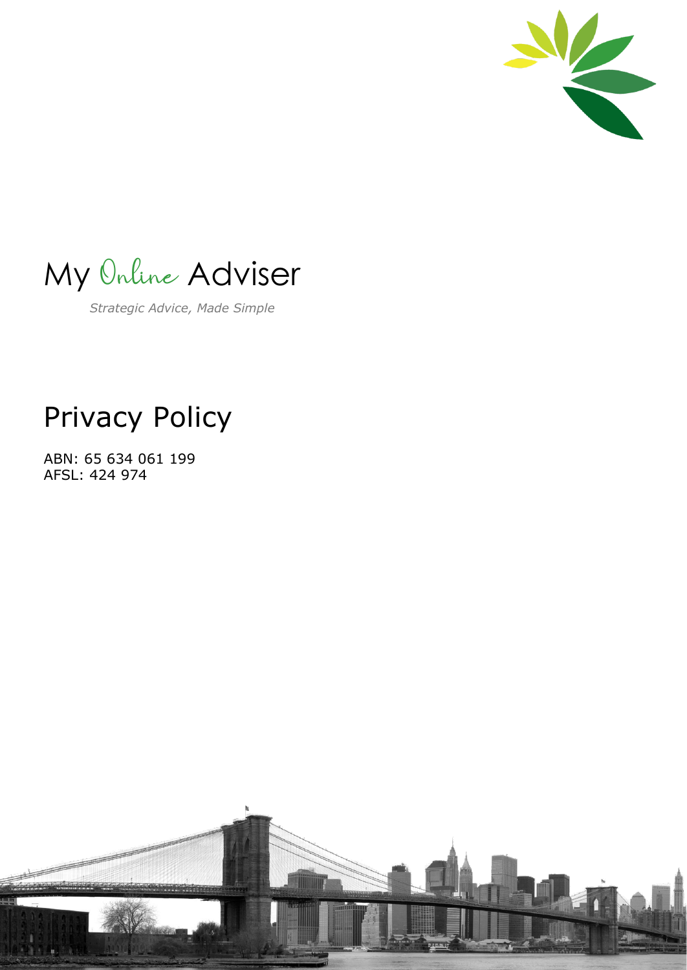

My Online Adviser

*Strategic Advice, Made Simple*

#### Privacy Policy

ABN: 65 634 061 199 AFSL: 424 974

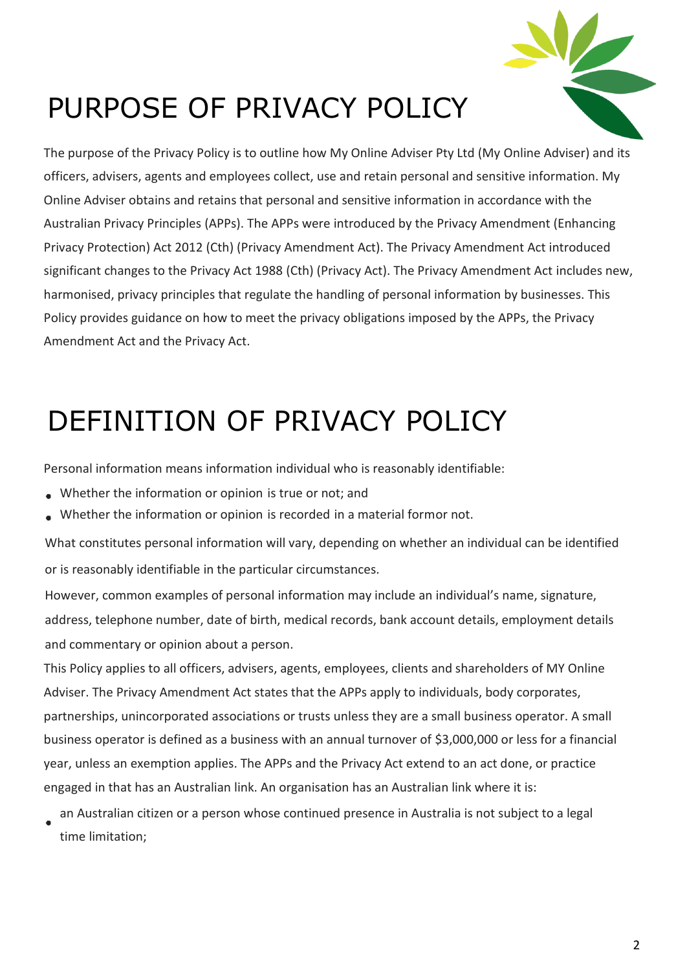

### PURPOSE OF PRIVACY POLICY

The purpose of the Privacy Policy is to outline how My Online Adviser Pty Ltd (My Online Adviser) and its officers, advisers, agents and employees collect, use and retain personal and sensitive information. My Online Adviser obtains and retains that personal and sensitive information in accordance with the Australian Privacy Principles (APPs). The APPs were introduced by the Privacy Amendment (Enhancing Privacy Protection) Act 2012 (Cth) (Privacy Amendment Act). The Privacy Amendment Act introduced significant changes to the Privacy Act 1988 (Cth) (Privacy Act). The Privacy Amendment Act includes new, harmonised, privacy principles that regulate the handling of personal information by businesses. This Policy provides guidance on how to meet the privacy obligations imposed by the APPs, the Privacy Amendment Act and the Privacy Act.

### DEFINITION OF PRIVACY POLICY

Personal information means information individual who is reasonably identifiable:

- Whether the information or opinion is true or not; and
- Whether the information or opinion is recorded in a material formor not.

What constitutes personal information will vary, depending on whether an individual can be identified or is reasonably identifiable in the particular circumstances.

However, common examples of personal information may include an individual's name, signature, address, telephone number, date of birth, medical records, bank account details, employment details and commentary or opinion about a person.

This Policy applies to all officers, advisers, agents, employees, clients and shareholders of MY Online Adviser. The Privacy Amendment Act states that the APPs apply to individuals, body corporates, partnerships, unincorporated associations or trusts unless they are a small business operator. A small business operator is defined as a business with an annual turnover of \$3,000,000 or less for a financial year, unless an exemption applies. The APPs and the Privacy Act extend to an act done, or practice engaged in that has an Australian link. An organisation has an Australian link where it is:

an Australian citizen or a person whose continued presence in Australia is not subject to a legal time limitation;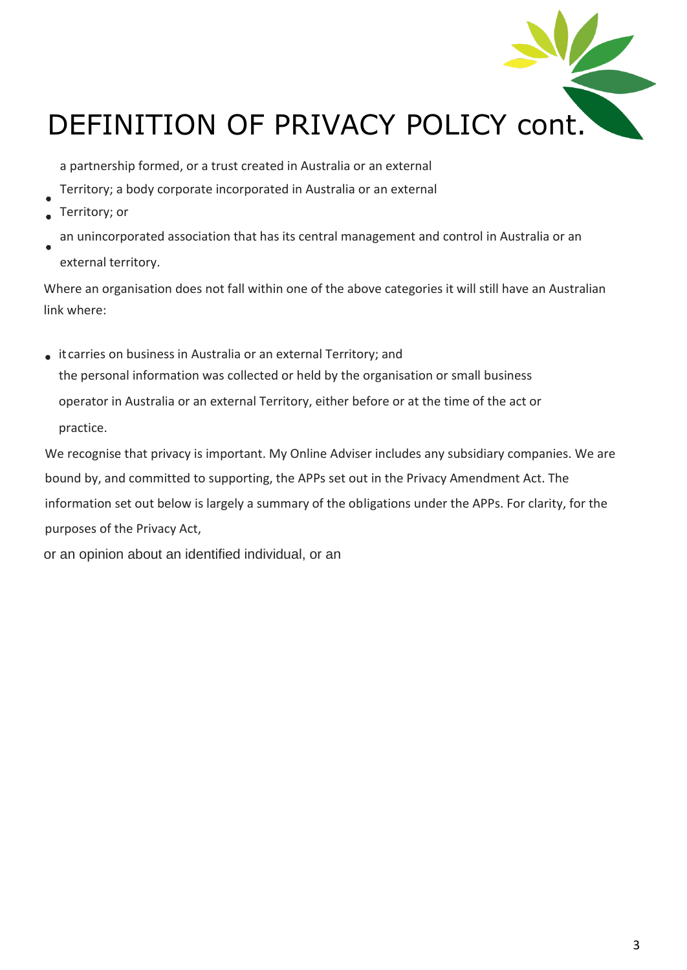

a partnership formed, or a trust created in Australia or an external

- Territory; a body corporate incorporated in Australia or an external
- Territory; or
- an unincorporated association that has its central management and control in Australia or an external territory.

Where an organisation does not fall within one of the above categories it will still have an Australian link where:

it carries on business in Australia or an external Territory; and the personal information was collected or held by the organisation or small business operator in Australia or an external Territory, either before or at the time of the act or practice.

We recognise that privacy is important. My Online Adviser includes any subsidiary companies. We are bound by, and committed to supporting, the APPs set out in the Privacy Amendment Act. The information set out below is largely a summary of the obligations under the APPs. For clarity, for the purposes of the Privacy Act,

or an opinion about an identified individual, or an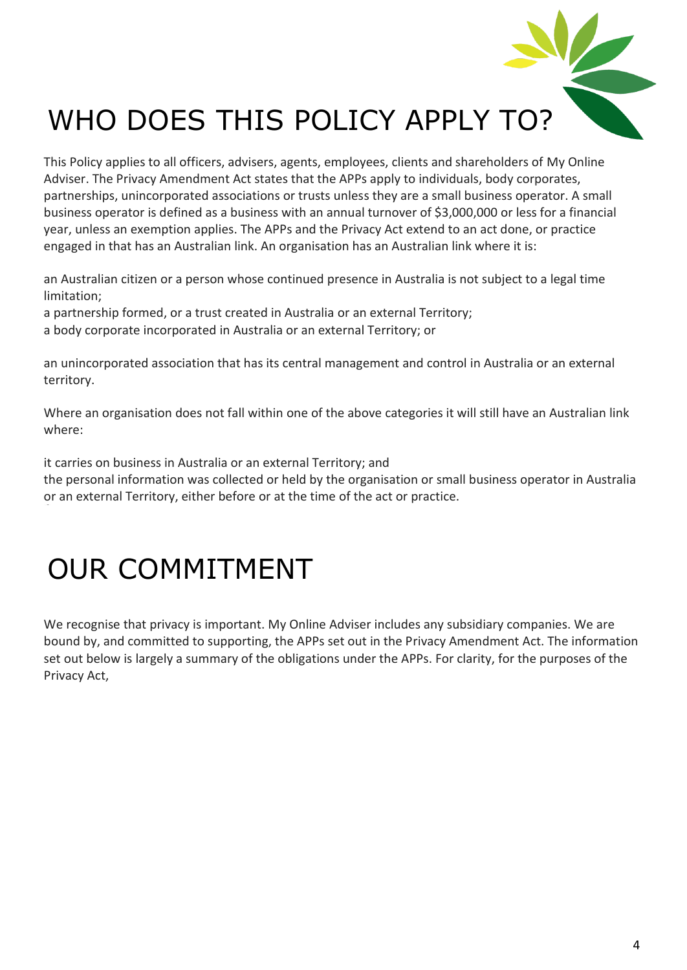

This Policy applies to all officers, advisers, agents, employees, clients and shareholders of My Online Adviser. The Privacy Amendment Act states that the APPs apply to individuals, body corporates, partnerships, unincorporated associations or trusts unless they are a small business operator. A small business operator is defined as a business with an annual turnover of \$3,000,000 or less for a financial year, unless an exemption applies. The APPs and the Privacy Act extend to an act done, or practice engaged in that has an Australian link. An organisation has an Australian link where it is:

an Australian citizen or a person whose continued presence in Australia is not subject to a legal time limitation;

a partnership formed, or a trust created in Australia or an external Territory;

a body corporate incorporated in Australia or an external Territory; or

an unincorporated association that has its central management and control in Australia or an external territory.

Where an organisation does not fall within one of the above categories it will still have an Australian link where:

it carries on business in Australia or an external Territory; and

the personal information was collected or held by the organisation or small business operator in Australia or an external Territory, either before or at the time of the act or practice.

#### OUR COMMITMENT

We recognise that privacy is important. My Online Adviser includes any subsidiary companies. We are bound by, and committed to supporting, the APPs set out in the Privacy Amendment Act. The information set out below is largely a summary of the obligations under the APPs. For clarity, for the purposes of the Privacy Act,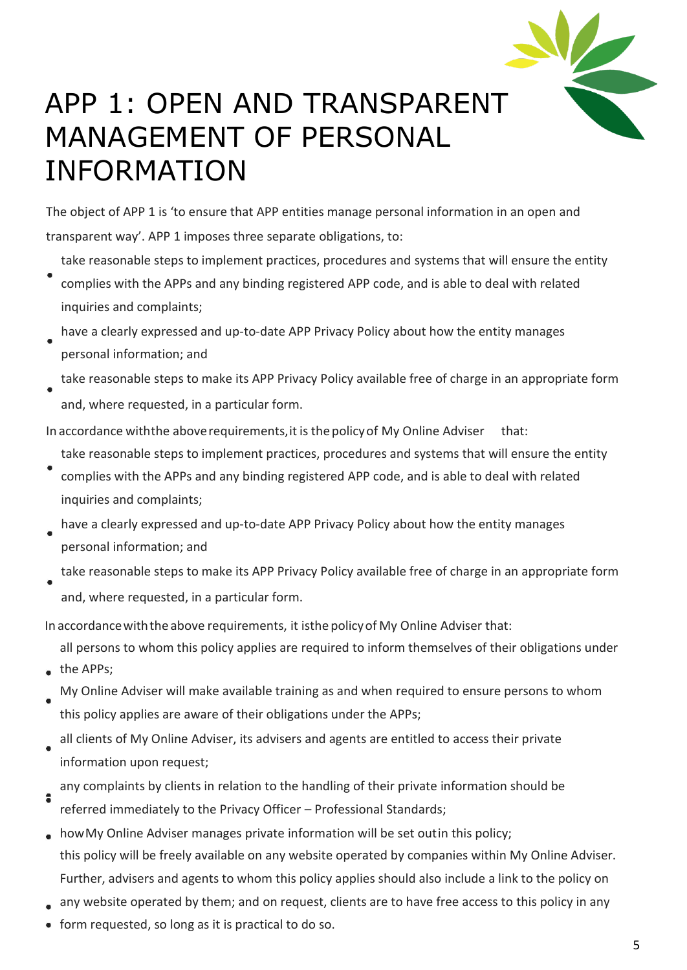

#### APP 1: OPEN AND TRANSPARENT MANAGEMENT OF PERSONAL INFORMATION

The object of APP 1 is 'to ensure that APP entities manage personal information in an open and transparent way'. APP 1 imposes three separate obligations, to:

- take reasonable steps to implement practices, procedures and systems that will ensure the entity complies with the APPs and any binding registered APP code, and is able to deal with related inquiries and complaints;
- have a clearly expressed and up-to-date APP Privacy Policy about how the entity manages personal information; and
- take reasonable steps to make its APP Privacy Policy available free of charge in an appropriate form
	- and, where requested, in a particular form.

In accordance withthe aboverequirements,it is the policyof My Online Adviser that:

- take reasonable steps to implement practices, procedures and systems that will ensure the entity
- complies with the APPs and any binding registered APP code, and is able to deal with related inquiries and complaints;
- have a clearly expressed and up-to-date APP Privacy Policy about how the entity manages personal information; and
- take reasonable steps to make its APP Privacy Policy available free of charge in an appropriate form and, where requested, in a particular form.

In accordance with the above requirements, it isthe policy of My Online Adviser that:

- all persons to whom this policy applies are required to inform themselves of their obligations under
- the APPs;
- My Online Adviser will make available training as and when required to ensure persons to whom this policy applies are aware of their obligations under the APPs;
- all clients of My Online Adviser, its advisers and agents are entitled to access their private information upon request;
- any complaints by clients in relation to the handling of their private information should be  $\bullet$ referred immediately to the Privacy Officer – Professional Standards;
- howMy Online Adviser manages private information will be set outin this policy; this policy will be freely available on any website operated by companies within My Online Adviser. Further, advisers and agents to whom this policy applies should also include a link to the policy on
- any website operated by them; and on request, clients are to have free access to this policy in any
- form requested, so long as it is practical to do so.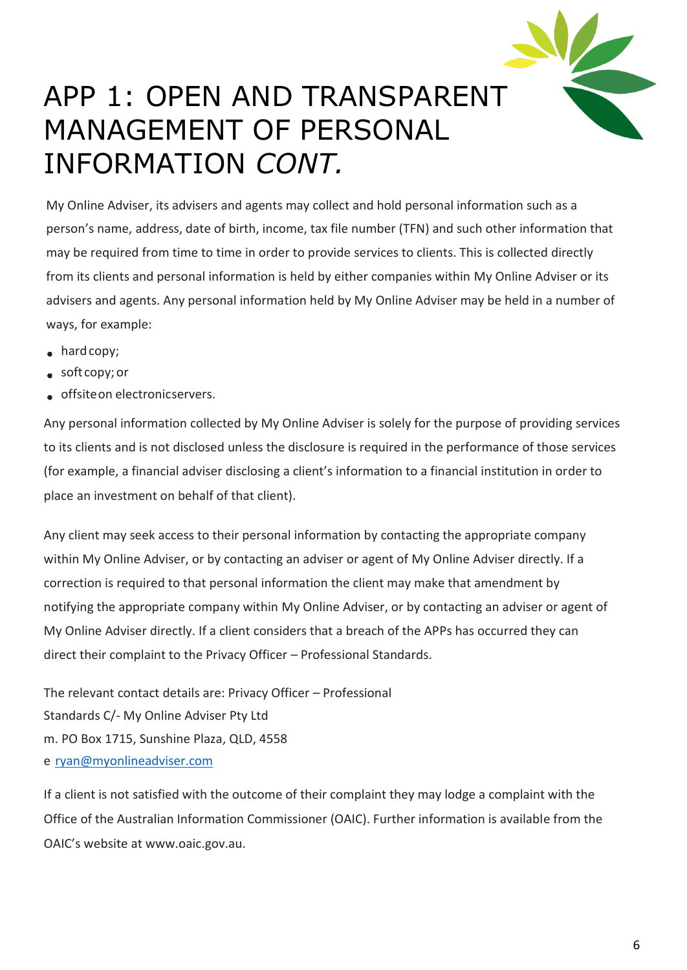

#### APP 1: OPEN AND TRANSPARENT MANAGEMENT OF PERSONAL INFORMATION *CONT.*

My Online Adviser, its advisers and agents may collect and hold personal information such as a person's name, address, date of birth, income, tax file number (TFN) and such other information that may be required from time to time in order to provide services to clients. This is collected directly from its clients and personal information is held by either companies within My Online Adviser or its advisers and agents. Any personal information held by My Online Adviser may be held in a number of ways, for example:

- hard copy;
- soft copy;or
- offsiteon electronicservers.

Any personal information collected by My Online Adviser is solely for the purpose of providing services to its clients and is not disclosed unless the disclosure is required in the performance of those services (for example, a financial adviser disclosing a client's information to a financial institution in order to place an investment on behalf of that client).

Any client may seek access to their personal information by contacting the appropriate company within My Online Adviser, or by contacting an adviser or agent of My Online Adviser directly. If a correction is required to that personal information the client may make that amendment by notifying the appropriate company within My Online Adviser, or by contacting an adviser or agent of My Online Adviser directly. If a client considers that a breach of the APPs has occurred they can direct their complaint to the Privacy Officer – Professional Standards.

The relevant contact details are: Privacy Officer – Professional Standards C/- My Online Adviser Pty Ltd m. PO Box 1715, Sunshine Plaza, QLD, 4558 e [ryan@myonlineadviser.com](mailto:ryan@myonlineadviser.com)

If a client is not satisfied with the outcome of their complaint they may lodge a complaint with the Office of the Australian Information Commissioner (OAIC). Further information is available from the OAIC's website at www.oaic.gov.au.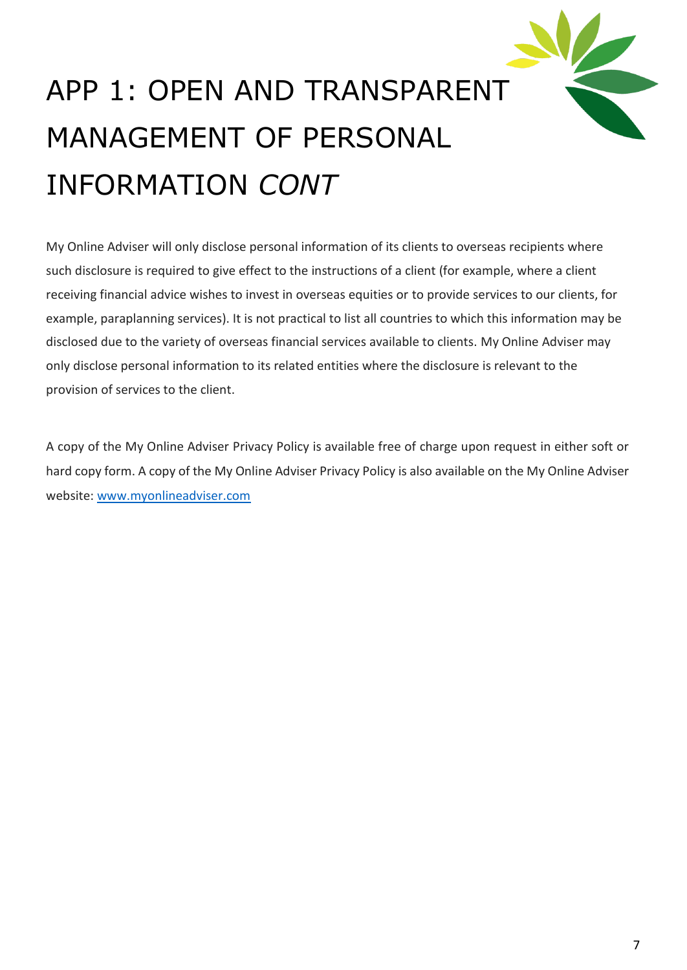

# APP 1: OPEN AND TRANSPARENT MANAGEMENT OF PERSONAL INFORMATION *CONT*

My Online Adviser will only disclose personal information of its clients to overseas recipients where such disclosure is required to give effect to the instructions of a client (for example, where a client receiving financial advice wishes to invest in overseas equities or to provide services to our clients, for example, paraplanning services). It is not practical to list all countries to which this information may be disclosed due to the variety of overseas financial services available to clients. My Online Adviser may only disclose personal information to its related entities where the disclosure is relevant to the provision of services to the client.

A copy of the My Online Adviser Privacy Policy is available free of charge upon request in either soft or hard copy form. A copy of the My Online Adviser Privacy Policy is also available on the My Online Adviser website: [www.myonlineadviser.com](http://www.myonlineadviser.com/)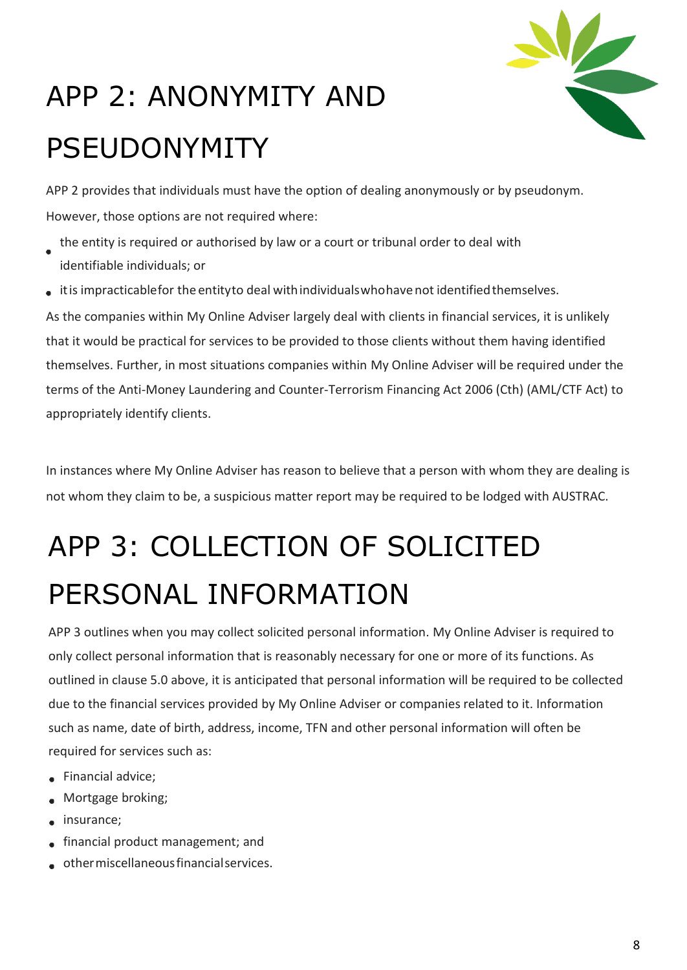

# APP 2: ANONYMITY AND PSEUDONYMITY

APP 2 provides that individuals must have the option of dealing anonymously or by pseudonym. However, those options are not required where:

- the entity is required or authorised by law or a court or tribunal order to deal with identifiable individuals; or
- itis impracticablefor the entityto deal withindividualswhohave not identifiedthemselves.

As the companies within My Online Adviser largely deal with clients in financial services, it is unlikely that it would be practical for services to be provided to those clients without them having identified themselves. Further, in most situations companies within My Online Adviser will be required under the terms of the Anti-Money Laundering and Counter-Terrorism Financing Act 2006 (Cth) (AML/CTF Act) to appropriately identify clients.

In instances where My Online Adviser has reason to believe that a person with whom they are dealing is not whom they claim to be, a suspicious matter report may be required to be lodged with AUSTRAC.

### APP 3: COLLECTION OF SOLICITED PERSONAL INFORMATION

APP 3 outlines when you may collect solicited personal information. My Online Adviser is required to only collect personal information that is reasonably necessary for one or more of its functions. As outlined in clause 5.0 above, it is anticipated that personal information will be required to be collected due to the financial services provided by My Online Adviser or companies related to it. Information such as name, date of birth, address, income, TFN and other personal information will often be required for services such as:

- Financial advice;
- Mortgage broking;  $\bullet$
- insurance;
- financial product management; and
- othermiscellaneousfinancialservices.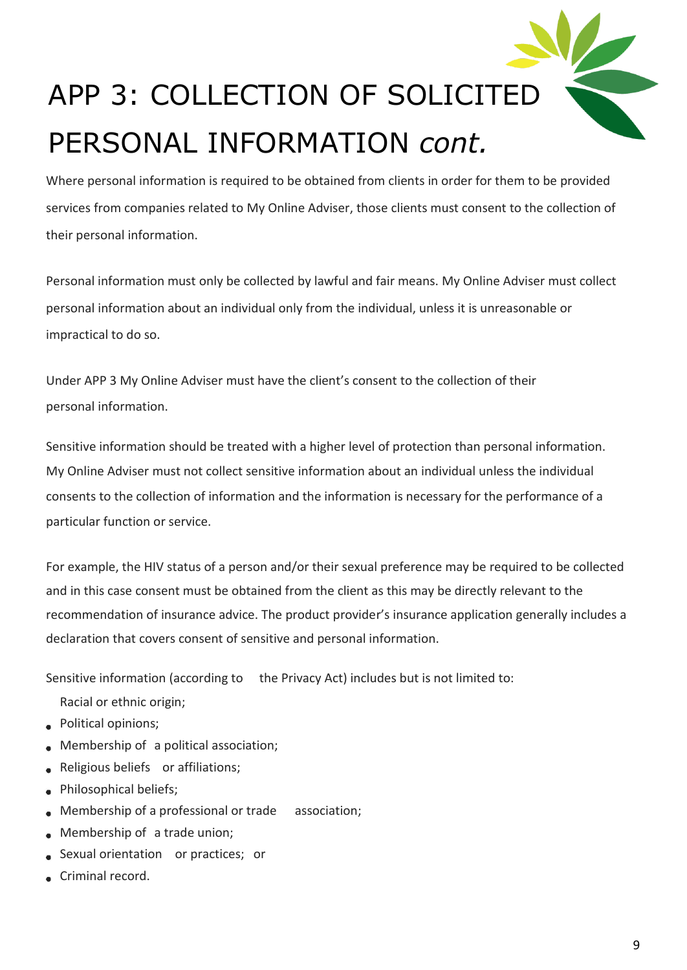

Where personal information is required to be obtained from clients in order for them to be provided services from companies related to My Online Adviser, those clients must consent to the collection of their personal information.

Personal information must only be collected by lawful and fair means. My Online Adviser must collect personal information about an individual only from the individual, unless it is unreasonable or impractical to do so.

Under APP 3 My Online Adviser must have the client's consent to the collection of their personal information.

Sensitive information should be treated with a higher level of protection than personal information. My Online Adviser must not collect sensitive information about an individual unless the individual consents to the collection of information and the information is necessary for the performance of a particular function or service.

For example, the HIV status of a person and/or their sexual preference may be required to be collected and in this case consent must be obtained from the client as this may be directly relevant to the recommendation of insurance advice. The product provider's insurance application generally includes a declaration that covers consent of sensitive and personal information.

Sensitive information (according to the Privacy Act) includes but is not limited to:

- Racial or ethnic origin;
- Political opinions;
- Membership of a political association;
- Religious beliefs or affiliations;
- Philosophical beliefs;
- Membership of a professional or trade association;
- Membership of a trade union;
- Sexual orientation or practices; or
- Criminal record.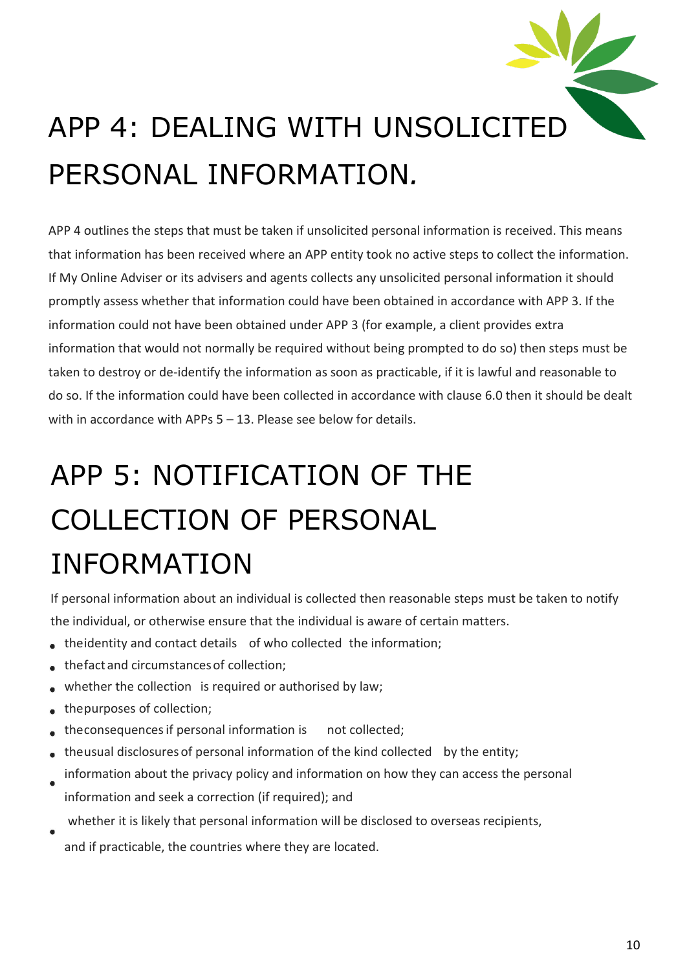

APP 4 outlines the steps that must be taken if unsolicited personal information is received. This means that information has been received where an APP entity took no active steps to collect the information. If My Online Adviser or its advisers and agents collects any unsolicited personal information it should promptly assess whether that information could have been obtained in accordance with APP 3. If the information could not have been obtained under APP 3 (for example, a client provides extra information that would not normally be required without being prompted to do so) then steps must be taken to destroy or de-identify the information as soon as practicable, if it is lawful and reasonable to do so. If the information could have been collected in accordance with clause 6.0 then it should be dealt with in accordance with APPs 5 – 13. Please see below for details.

### APP 5: NOTIFICATION OF THE COLLECTION OF PERSONAL INFORMATION

If personal information about an individual is collected then reasonable steps must be taken to notify the individual, or otherwise ensure that the individual is aware of certain matters.

- theidentity and contact details of who collected the information;
- thefact and circumstances of collection;
- whether the collection is required or authorised by law;
- thepurposes of collection;
- theconsequencesif personal information is not collected;
- theusual disclosures of personal information of the kind collected by the entity;  $\bullet$
- information about the privacy policy and information on how they can access the personal information and seek a correction (if required); and
- whether it is likely that personal information will be disclosed to overseas recipients,
- and if practicable, the countries where they are located.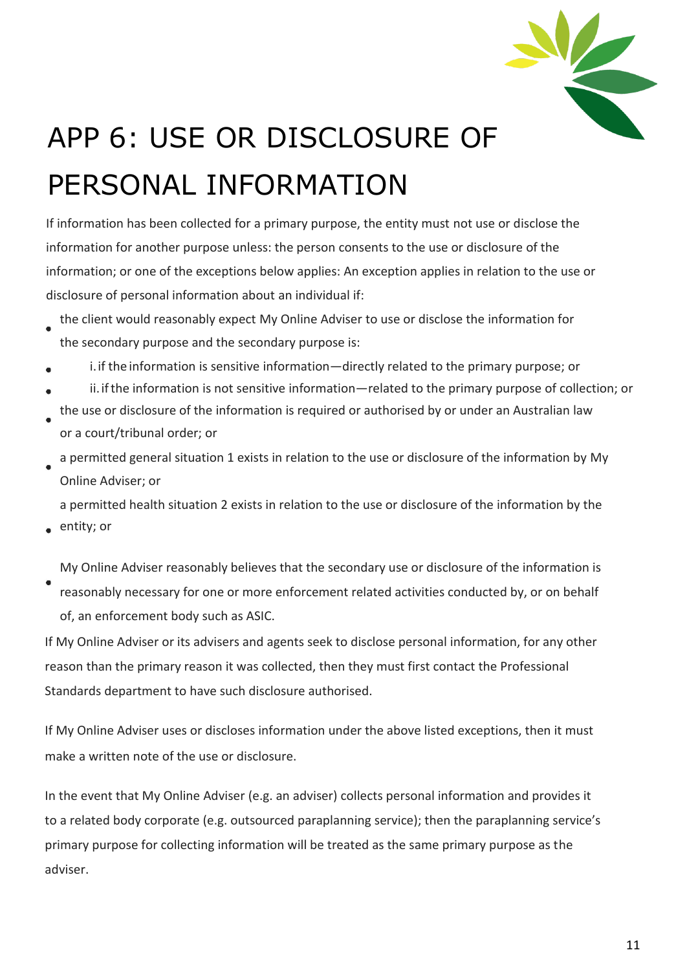

## APP 6: USE OR DISCLOSURE OF PERSONAL INFORMATION

If information has been collected for a primary purpose, the entity must not use or disclose the information for another purpose unless: the person consents to the use or disclosure of the information; or one of the exceptions below applies: An exception applies in relation to the use or disclosure of personal information about an individual if:

- the client would reasonably expect My Online Adviser to use or disclose the information for the secondary purpose and the secondary purpose is:
- i.if the information is sensitive information—directly related to the primary purpose; or
- ii.ifthe information is not sensitive information—related to the primary purpose of collection; or
- the use or disclosure of the information is required or authorised by or under an Australian law or a court/tribunal order; or
- a permitted general situation 1 exists in relation to the use or disclosure of the information by My Online Adviser; or

a permitted health situation 2 exists in relation to the use or disclosure of the information by the

entity; or

My Online Adviser reasonably believes that the secondary use or disclosure of the information is reasonably necessary for one or more enforcement related activities conducted by, or on behalf of, an enforcement body such as ASIC.

If My Online Adviser or its advisers and agents seek to disclose personal information, for any other reason than the primary reason it was collected, then they must first contact the Professional Standards department to have such disclosure authorised.

If My Online Adviser uses or discloses information under the above listed exceptions, then it must make a written note of the use or disclosure.

In the event that My Online Adviser (e.g. an adviser) collects personal information and provides it to a related body corporate (e.g. outsourced paraplanning service); then the paraplanning service's primary purpose for collecting information will be treated as the same primary purpose as the adviser.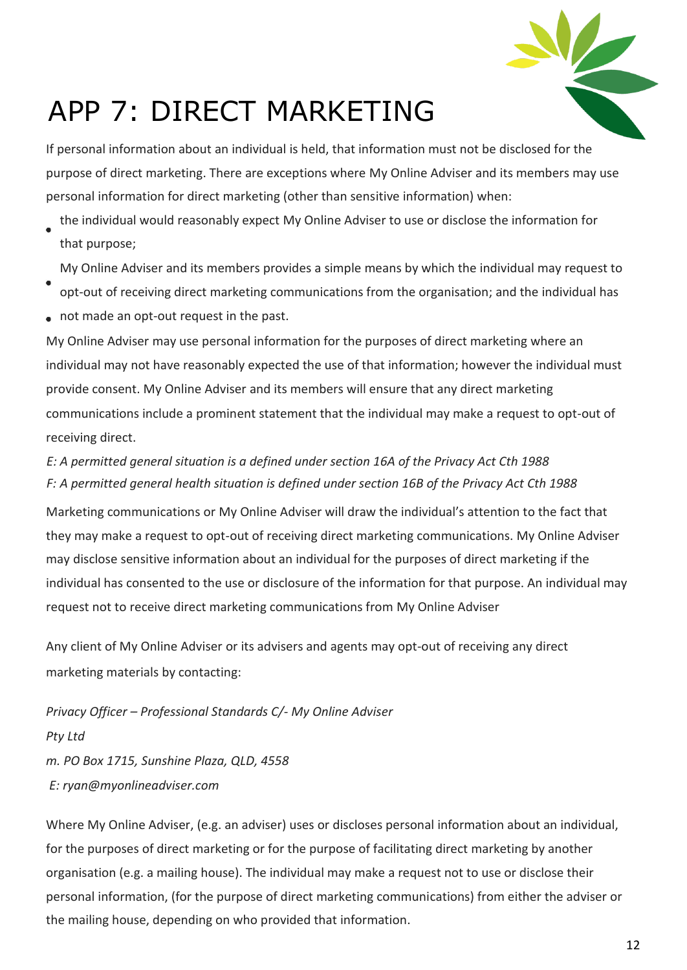

#### APP 7: DIRECT MARKETING

If personal information about an individual is held, that information must not be disclosed for the purpose of direct marketing. There are exceptions where My Online Adviser and its members may use personal information for direct marketing (other than sensitive information) when:

the individual would reasonably expect My Online Adviser to use or disclose the information for that purpose;

My Online Adviser and its members provides a simple means by which the individual may request to

- opt-out of receiving direct marketing communications from the organisation; and the individual has
- not made an opt-out request in the past.

My Online Adviser may use personal information for the purposes of direct marketing where an individual may not have reasonably expected the use of that information; however the individual must provide consent. My Online Adviser and its members will ensure that any direct marketing communications include a prominent statement that the individual may make a request to opt-out of receiving direct.

*E: A permitted general situation is a defined under section 16A of the Privacy Act Cth 1988 F: A permitted general health situation is defined under section 16B of the Privacy Act Cth 1988*

Marketing communications or My Online Adviser will draw the individual's attention to the fact that they may make a request to opt-out of receiving direct marketing communications. My Online Adviser may disclose sensitive information about an individual for the purposes of direct marketing if the individual has consented to the use or disclosure of the information for that purpose. An individual may request not to receive direct marketing communications from My Online Adviser

Any client of My Online Adviser or its advisers and agents may opt-out of receiving any direct marketing materials by contacting:

*Privacy Officer – Professional Standards C/- My Online Adviser Pty Ltd m. PO Box 1715, Sunshine Plaza, QLD, 4558 E: ryan@myonlineadviser.com*

Where My Online Adviser, (e.g. an adviser) uses or discloses personal information about an individual, for the purposes of direct marketing or for the purpose of facilitating direct marketing by another organisation (e.g. a mailing house). The individual may make a request not to use or disclose their personal information, (for the purpose of direct marketing communications) from either the adviser or the mailing house, depending on who provided that information.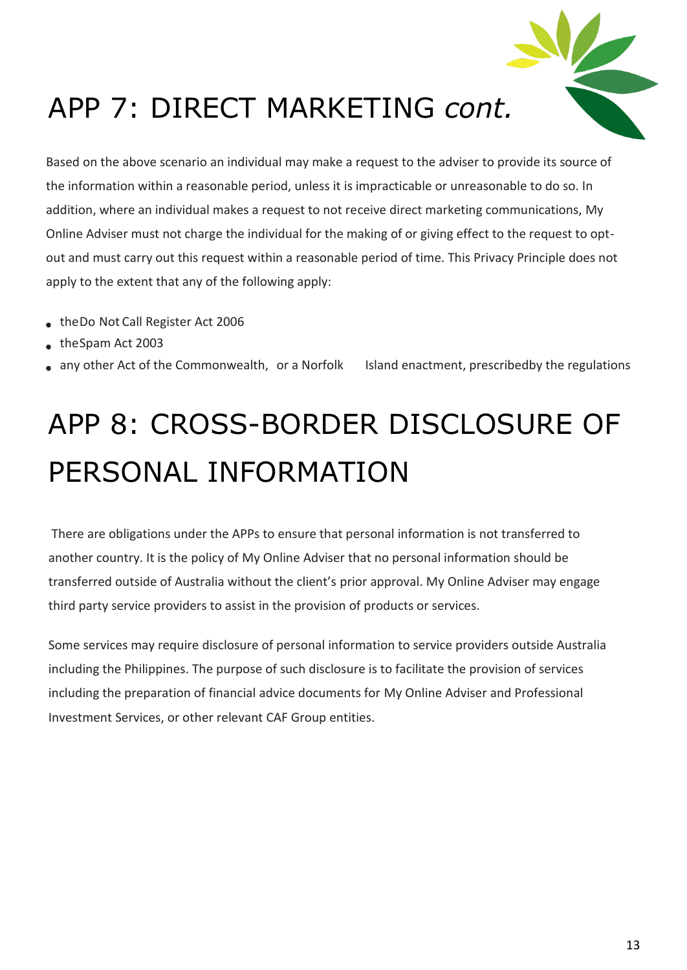

### APP 7: DIRECT MARKETING *cont.*

Based on the above scenario an individual may make a request to the adviser to provide its source of the information within a reasonable period, unless it is impracticable or unreasonable to do so. In addition, where an individual makes a request to not receive direct marketing communications, My Online Adviser must not charge the individual for the making of or giving effect to the request to optout and must carry out this request within a reasonable period of time. This Privacy Principle does not apply to the extent that any of the following apply:

- theDo Not Call Register Act 2006
- theSpam Act 2003
- any other Act of the Commonwealth, or a Norfolk Island enactment, prescribedby the regulations

### APP 8: CROSS-BORDER DISCLOSURE OF PERSONAL INFORMATION

There are obligations under the APPs to ensure that personal information is not transferred to another country. It is the policy of My Online Adviser that no personal information should be transferred outside of Australia without the client's prior approval. My Online Adviser may engage third party service providers to assist in the provision of products or services.

Some services may require disclosure of personal information to service providers outside Australia including the Philippines. The purpose of such disclosure is to facilitate the provision of services including the preparation of financial advice documents for My Online Adviser and Professional Investment Services, or other relevant CAF Group entities.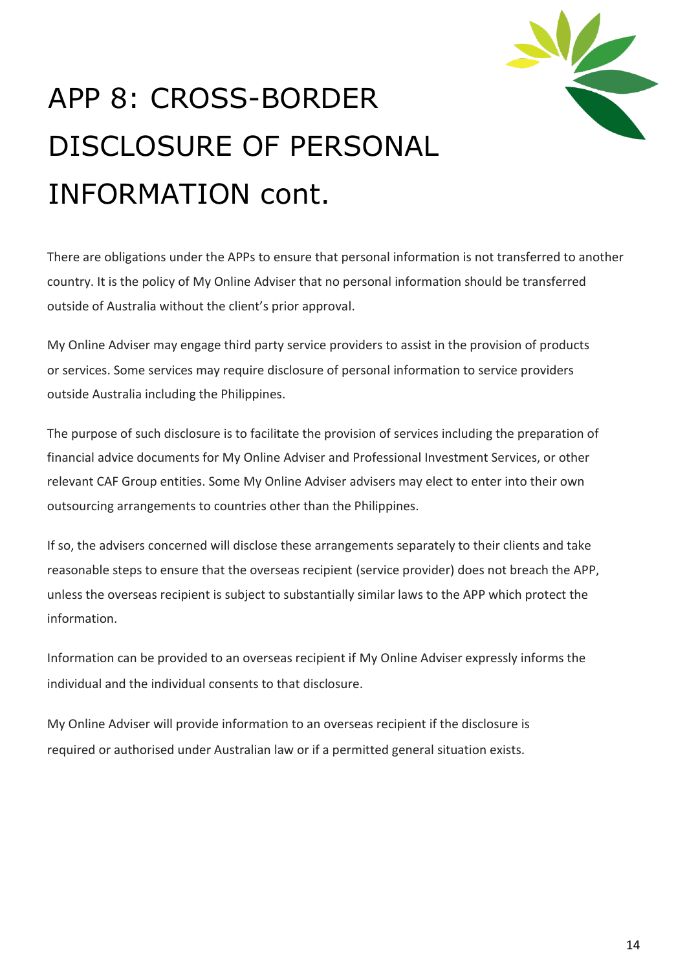

# APP 8: CROSS-BORDER DISCLOSURE OF PERSONAL INFORMATION cont.

There are obligations under the APPs to ensure that personal information is not transferred to another country. It is the policy of My Online Adviser that no personal information should be transferred outside of Australia without the client's prior approval.

My Online Adviser may engage third party service providers to assist in the provision of products or services. Some services may require disclosure of personal information to service providers outside Australia including the Philippines.

The purpose of such disclosure is to facilitate the provision of services including the preparation of financial advice documents for My Online Adviser and Professional Investment Services, or other relevant CAF Group entities. Some My Online Adviser advisers may elect to enter into their own outsourcing arrangements to countries other than the Philippines.

If so, the advisers concerned will disclose these arrangements separately to their clients and take reasonable steps to ensure that the overseas recipient (service provider) does not breach the APP, unless the overseas recipient is subject to substantially similar laws to the APP which protect the information.

Information can be provided to an overseas recipient if My Online Adviser expressly informs the individual and the individual consents to that disclosure.

My Online Adviser will provide information to an overseas recipient if the disclosure is required or authorised under Australian law or if a permitted general situation exists.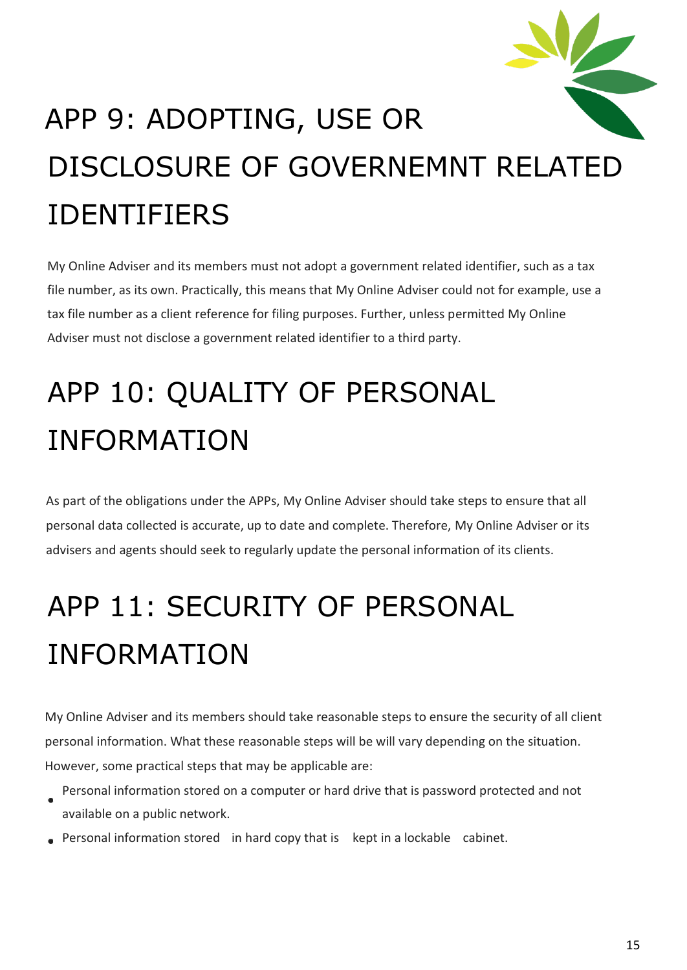

# APP 9: ADOPTING, USE OR DISCLOSURE OF GOVERNEMNT RELATED IDENTIFIERS

My Online Adviser and its members must not adopt a government related identifier, such as a tax file number, as its own. Practically, this means that My Online Adviser could not for example, use a tax file number as a client reference for filing purposes. Further, unless permitted My Online Adviser must not disclose a government related identifier to a third party.

## APP 10: QUALITY OF PERSONAL INFORMATION

As part of the obligations under the APPs, My Online Adviser should take steps to ensure that all personal data collected is accurate, up to date and complete. Therefore, My Online Adviser or its advisers and agents should seek to regularly update the personal information of its clients.

## APP 11: SECURITY OF PERSONAL INFORMATION

My Online Adviser and its members should take reasonable steps to ensure the security of all client personal information. What these reasonable steps will be will vary depending on the situation. However, some practical steps that may be applicable are:

- Personal information stored on a computer or hard drive that is password protected and not available on a public network.
- Personal information stored in hard copy that is kept in a lockable cabinet.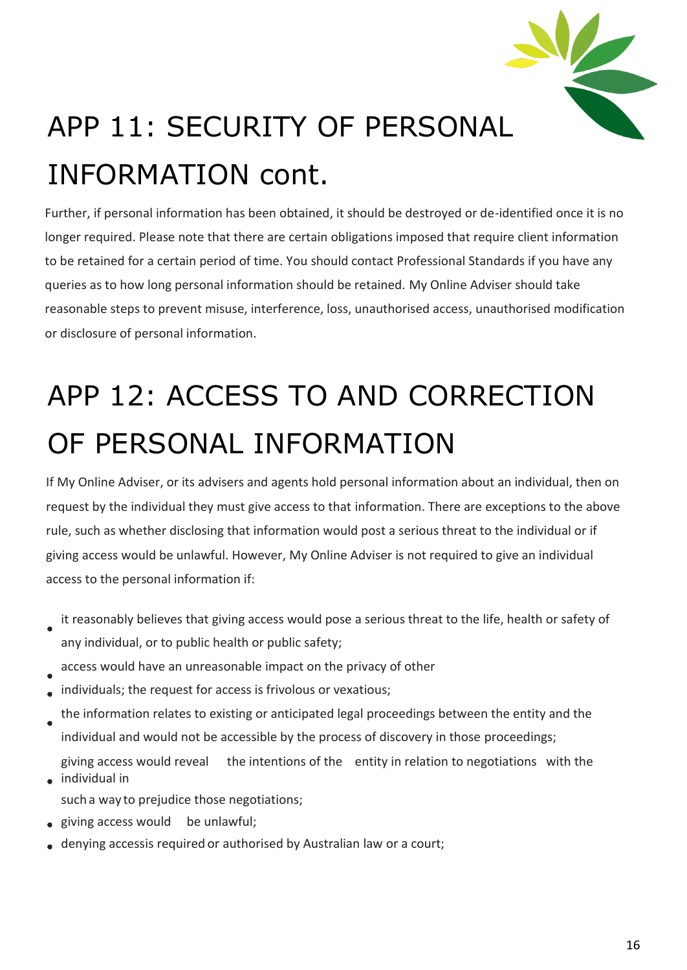

# APP 11: SECURITY OF PERSONAL INFORMATION cont.

Further, if personal information has been obtained, it should be destroyed or de-identified once it is no longer required. Please note that there are certain obligations imposed that require client information to be retained for a certain period of time. You should contact Professional Standards if you have any queries as to how long personal information should be retained. My Online Adviser should take reasonable steps to prevent misuse, interference, loss, unauthorised access, unauthorised modification or disclosure of personal information.

## APP 12: ACCESS TO AND CORRECTION OF PERSONAL INFORMATION

If My Online Adviser, or its advisers and agents hold personal information about an individual, then on request by the individual they must give access to that information. There are exceptions to the above rule, such as whether disclosing that information would post a serious threat to the individual or if giving access would be unlawful. However, My Online Adviser is not required to give an individual access to the personal information if:

- it reasonably believes that giving access would pose a serious threat to the life, health or safety of any individual, or to public health or public safety;
- access would have an unreasonable impact on the privacy of other
- individuals; the request for access is frivolous or vexatious;
- the information relates to existing or anticipated legal proceedings between the entity and the individual and would not be accessible by the process of discovery in those proceedings; giving access would reveal the intentions of the entity in relation to negotiations with the
- individual in such a way to prejudice those negotiations;
- giving access would be unlawful;
- denying accessis required or authorised by Australian law or a court;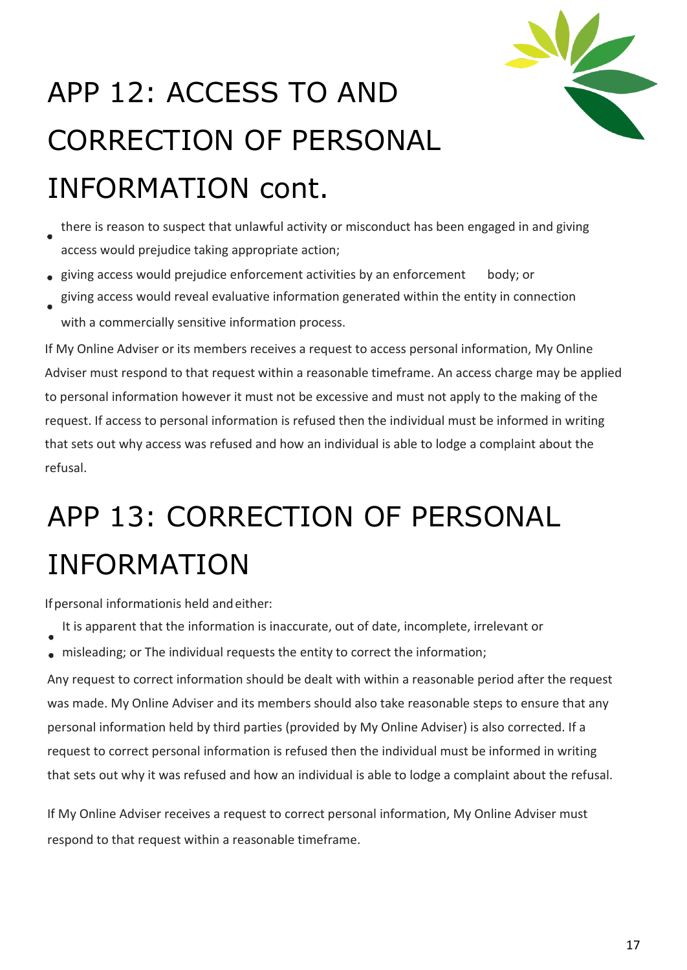

## APP 12: ACCESS TO AND CORRECTION OF PERSONAL INFORMATION cont.

- there is reason to suspect that unlawful activity or misconduct has been engaged in and giving access would prejudice taking appropriate action;
- giving access would prejudice enforcement activities by an enforcement body; or giving access would reveal evaluative information generated within the entity in connection
- with a commercially sensitive information process.

If My Online Adviser or its members receives a request to access personal information, My Online Adviser must respond to that request within a reasonable timeframe. An access charge may be applied to personal information however it must not be excessive and must not apply to the making of the request. If access to personal information is refused then the individual must be informed in writing that sets out why access was refused and how an individual is able to lodge a complaint about the refusal.

### APP 13: CORRECTION OF PERSONAL INFORMATION

Ifpersonal informationis held andeither:

- It is apparent that the information is inaccurate, out of date, incomplete, irrelevant or
- misleading; or The individual requests the entity to correct the information;

Any request to correct information should be dealt with within a reasonable period after the request was made. My Online Adviser and its members should also take reasonable steps to ensure that any personal information held by third parties (provided by My Online Adviser) is also corrected. If a request to correct personal information is refused then the individual must be informed in writing that sets out why it was refused and how an individual is able to lodge a complaint about the refusal.

If My Online Adviser receives a request to correct personal information, My Online Adviser must respond to that request within a reasonable timeframe.